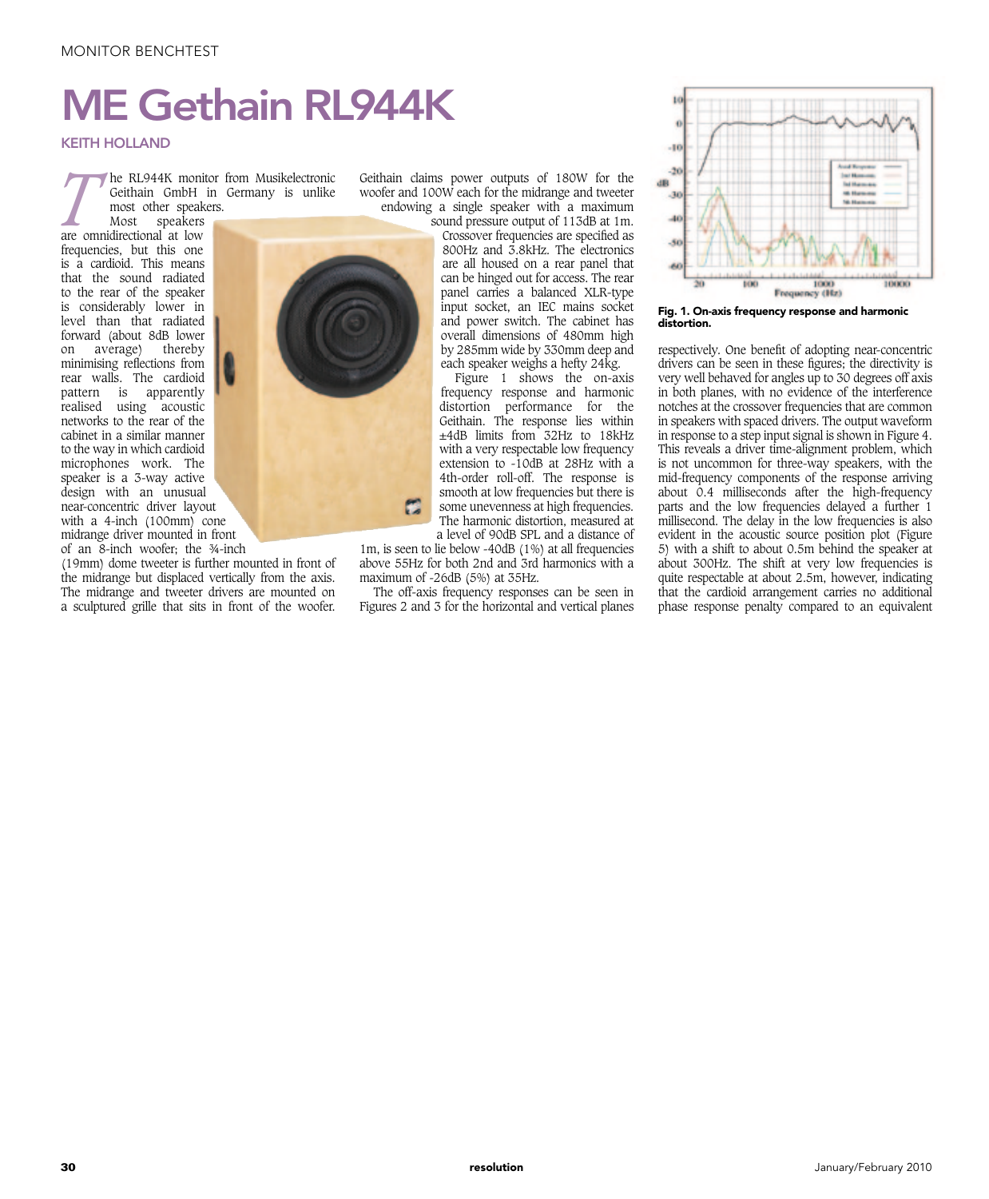## ME Gethain RL944K

KEITH HOLLAND

*T* he RL944K monitor from Musikelectronic Geithain GmbH in Germany is unlike most other speakers.

Most speakers are omnidirectional at low frequencies, but this one is a cardioid. This means that the sound radiated to the rear of the speaker is considerably lower in level than that radiated forward (about 8dB lower on average) thereby minimising reflections from rear walls. The cardioid pattern is apparently realised using acoustic networks to the rear of the cabinet in a similar manner to the way in which cardioid microphones work. The speaker is a 3-way active design with an unusual near-concentric driver layout with a 4-inch (100mm) cone midrange driver mounted in front of an 8-inch woofer; the ¾-inch



a sculptured grille that sits in front of the woofer. Figures 2 and 3 for the (19mm) dome tweeter is further mounted in front of the midrange but displaced vertically from the axis. The midrange and tweeter drivers are mounted on

Geithain claims power outputs of 180W for the woofer and 100W each for the midrange and tweeter endowing a single speaker with a maximum

sound pressure output of 113dB at 1m. Crossover frequencies are specified as 800Hz and 3.8kHz. The electronics are all housed on a rear panel that can be hinged out for access. The rear panel carries a balanced XLR-type input socket, an IEC mains socket and power switch. The cabinet has overall dimensions of 480mm high by 285mm wide by 330mm deep and each speaker weighs a hefty 24kg.

Figure 1 shows the on-axis frequency response and harmonic distortion performance for the Geithain. The response lies within ±4dB limits from 32Hz to 18kHz with a very respectable low frequency extension to -10dB at 28Hz with a 4th-order roll-off. The response is smooth at low frequencies but there is some unevenness at high frequencies. The harmonic distortion, measured at a level of 90dB SPL and a distance of

1m, is seen to lie below -40dB (1%) at all frequencies above 55Hz for both 2nd and 3rd harmonics with a maximum of -26dB (5%) at 35Hz.

The off-axis frequency responses can be seen in Figures 2 and 3 for the horizontal and vertical planes



Fig. 1. On-axis frequency response and harmonic distortion.

respectively. One benefit of adopting near-concentric drivers can be seen in these figures; the directivity is very well behaved for angles up to 30 degrees off axis in both planes, with no evidence of the interference notches at the crossover frequencies that are common in speakers with spaced drivers. The output waveform in response to a step input signal is shown in Figure 4. This reveals a driver time-alignment problem, which is not uncommon for three-way speakers, with the mid-frequency components of the response arriving about  $0.4$  milliseconds after the high-frequency parts and the low frequencies delayed a further 1 millisecond. The delay in the low frequencies is also evident in the acoustic source position plot (Figure 5) with a shift to about 0.5m behind the speaker at about 300Hz. The shift at very low frequencies is quite respectable at about 2.5m, however, indicating that the cardioid arrangement carries no additional phase response penalty compared to an equivalent